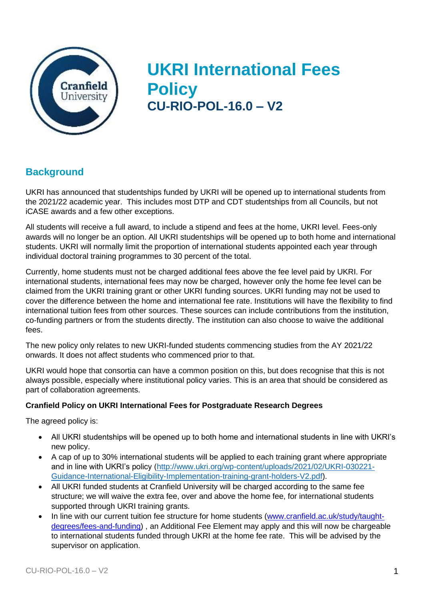

# **UKRI International Fees Policy CU-RIO-POL-16.0 – V2**

### **Background**

UKRI has announced that studentships funded by UKRI will be opened up to international students from the 2021/22 academic year. This includes most DTP and CDT studentships from all Councils, but not iCASE awards and a few other exceptions.

All students will receive a full award, to include a stipend and fees at the home, UKRI level. Fees-only awards will no longer be an option. All UKRI studentships will be opened up to both home and international students. UKRI will normally limit the proportion of international students appointed each year through individual doctoral training programmes to 30 percent of the total.

Currently, home students must not be charged additional fees above the fee level paid by UKRI. For international students, international fees may now be charged, however only the home fee level can be claimed from the UKRI training grant or other UKRI funding sources. UKRI funding may not be used to cover the difference between the home and international fee rate. Institutions will have the flexibility to find international tuition fees from other sources. These sources can include contributions from the institution, co-funding partners or from the students directly. The institution can also choose to waive the additional fees.

The new policy only relates to new UKRI-funded students commencing studies from the AY 2021/22 onwards. It does not affect students who commenced prior to that.

UKRI would hope that consortia can have a common position on this, but does recognise that this is not always possible, especially where institutional policy varies. This is an area that should be considered as part of collaboration agreements.

#### **Cranfield Policy on UKRI International Fees for Postgraduate Research Degrees**

The agreed policy is:

- All UKRI studentships will be opened up to both home and international students in line with UKRI's new policy.
- A cap of up to 30% international students will be applied to each training grant where appropriate and in line with UKRI's policy [\(http://www.ukri.org/wp-content/uploads/2021/02/UKRI-030221-](https://www.ukri.org/wp-content/uploads/2021/02/UKRI-030221-Guidance-International-Eligibility-Implementation-training-grant-holders-V2.pdf) [Guidance-International-Eligibility-Implementation-training-grant-holders-V2.pdf\)](https://www.ukri.org/wp-content/uploads/2021/02/UKRI-030221-Guidance-International-Eligibility-Implementation-training-grant-holders-V2.pdf).
- All UKRI funded students at Cranfield University will be charged according to the same fee structure; we will waive the extra fee, over and above the home fee, for international students supported through UKRI training grants.
- In line with our current tuition fee structure for home students [\(www.cranfield.ac.uk/study/taught](http://www.cranfield.ac.uk/study/taught-degrees/fees-and-funding)[degrees/fees-and-funding\)](http://www.cranfield.ac.uk/study/taught-degrees/fees-and-funding) , an Additional Fee Element may apply and this will now be chargeable to international students funded through UKRI at the home fee rate. This will be advised by the supervisor on application.